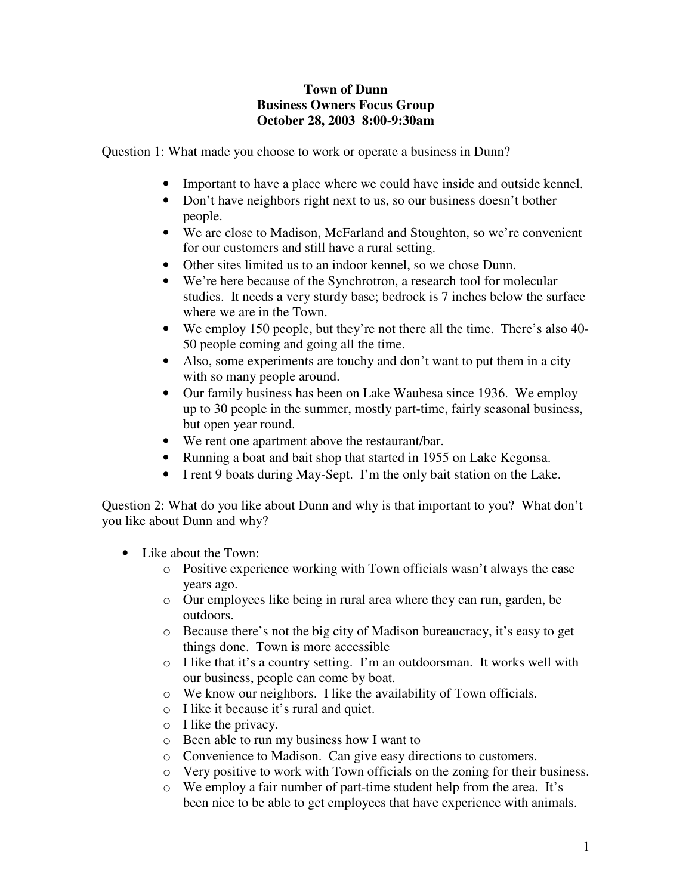## **Town of Dunn Business Owners Focus Group October 28, 2003 8:00-9:30am**

Question 1: What made you choose to work or operate a business in Dunn?

- Important to have a place where we could have inside and outside kennel.
- Don't have neighbors right next to us, so our business doesn't bother people.
- We are close to Madison, McFarland and Stoughton, so we're convenient for our customers and still have a rural setting.
- Other sites limited us to an indoor kennel, so we chose Dunn.
- We're here because of the Synchrotron, a research tool for molecular studies. It needs a very sturdy base; bedrock is 7 inches below the surface where we are in the Town.
- We employ 150 people, but they're not there all the time. There's also 40- 50 people coming and going all the time.
- Also, some experiments are touchy and don't want to put them in a city with so many people around.
- Our family business has been on Lake Waubesa since 1936. We employ up to 30 people in the summer, mostly part-time, fairly seasonal business, but open year round.
- We rent one apartment above the restaurant/bar.
- Running a boat and bait shop that started in 1955 on Lake Kegonsa.
- I rent 9 boats during May-Sept. I'm the only bait station on the Lake.

Question 2: What do you like about Dunn and why is that important to you? What don't you like about Dunn and why?

- Like about the Town:
	- o Positive experience working with Town officials wasn't always the case years ago.
	- o Our employees like being in rural area where they can run, garden, be outdoors.
	- o Because there's not the big city of Madison bureaucracy, it's easy to get things done. Town is more accessible
	- o I like that it's a country setting. I'm an outdoorsman. It works well with our business, people can come by boat.
	- o We know our neighbors. I like the availability of Town officials.
	- o I like it because it's rural and quiet.
	- o I like the privacy.
	- o Been able to run my business how I want to
	- o Convenience to Madison. Can give easy directions to customers.
	- o Very positive to work with Town officials on the zoning for their business.
	- o We employ a fair number of part-time student help from the area. It's been nice to be able to get employees that have experience with animals.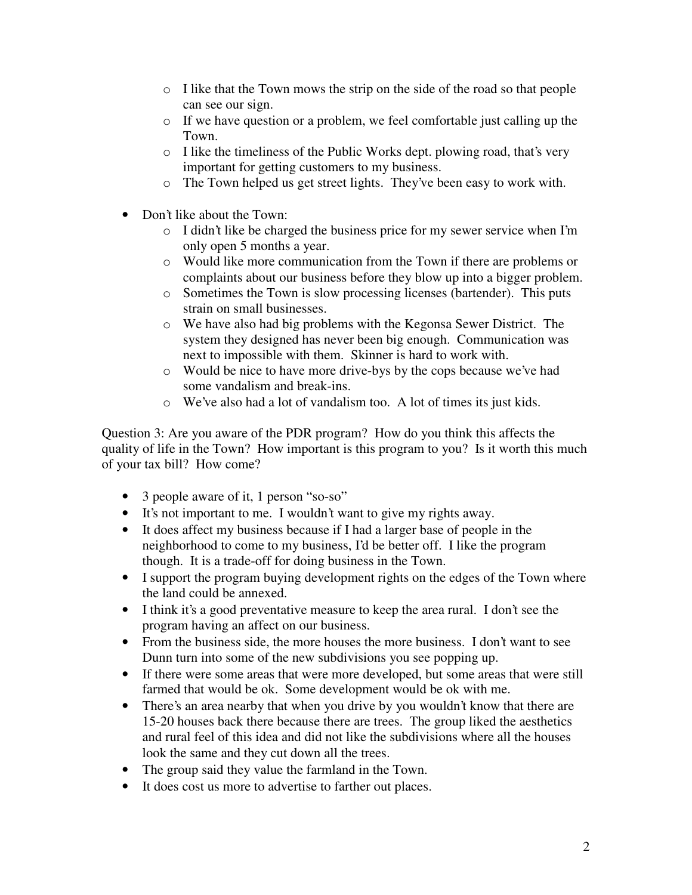- o I like that the Town mows the strip on the side of the road so that people can see our sign.
- o If we have question or a problem, we feel comfortable just calling up the Town.
- o I like the timeliness of the Public Works dept. plowing road, that's very important for getting customers to my business.
- o The Town helped us get street lights. They've been easy to work with.
- Don't like about the Town:
	- o I didn't like be charged the business price for my sewer service when I'm only open 5 months a year.
	- o Would like more communication from the Town if there are problems or complaints about our business before they blow up into a bigger problem.
	- o Sometimes the Town is slow processing licenses (bartender). This puts strain on small businesses.
	- o We have also had big problems with the Kegonsa Sewer District. The system they designed has never been big enough. Communication was next to impossible with them. Skinner is hard to work with.
	- o Would be nice to have more drive-bys by the cops because we've had some vandalism and break-ins.
	- o We've also had a lot of vandalism too. A lot of times its just kids.

Question 3: Are you aware of the PDR program? How do you think this affects the quality of life in the Town? How important is this program to you? Is it worth this much of your tax bill? How come?

- 3 people aware of it, 1 person "so-so"
- It's not important to me. I wouldn't want to give my rights away.
- It does affect my business because if I had a larger base of people in the neighborhood to come to my business, I'd be better off. I like the program though. It is a trade-off for doing business in the Town.
- I support the program buying development rights on the edges of the Town where the land could be annexed.
- I think it's a good preventative measure to keep the area rural. I don't see the program having an affect on our business.
- From the business side, the more houses the more business. I don't want to see Dunn turn into some of the new subdivisions you see popping up.
- If there were some areas that were more developed, but some areas that were still farmed that would be ok. Some development would be ok with me.
- There's an area nearby that when you drive by you wouldn't know that there are 15-20 houses back there because there are trees. The group liked the aesthetics and rural feel of this idea and did not like the subdivisions where all the houses look the same and they cut down all the trees.
- The group said they value the farmland in the Town.
- It does cost us more to advertise to farther out places.